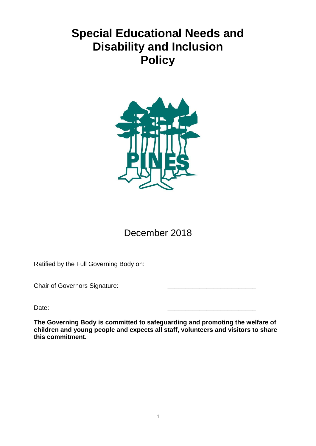# **Special Educational Needs and Disability and Inclusion Policy**



December 2018

Ratified by the Full Governing Body on:

Chair of Governors Signature:

Date: \_\_\_\_\_\_\_\_\_\_\_\_\_\_\_\_\_\_\_\_\_\_\_\_\_

**The Governing Body is committed to safeguarding and promoting the welfare of children and young people and expects all staff, volunteers and visitors to share this commitment.**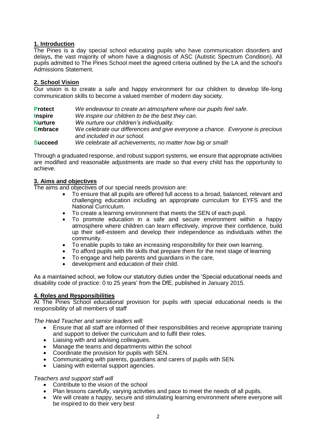## **1. Introduction**

The Pines is a day special school educating pupils who have communication disorders and delays, the vast majority of whom have a diagnosis of ASC (Autistic Spectrum Condition). All pupils admitted to The Pines School meet the agreed criteria outlined by the LA and the school's Admissions Statement.

# **2. School Vision**

Our vision is to create a safe and happy environment for our children to develop life-long communication skills to become a valued member of modern day society.

| <b>Protect</b> | We endeavour to create an atmosphere where our pupils feel safe.                                             |
|----------------|--------------------------------------------------------------------------------------------------------------|
| <b>Inspire</b> | We inspire our children to be the best they can.                                                             |
| <b>Nurture</b> | We nurture our children's individuality.                                                                     |
| <b>Embrace</b> | We celebrate our differences and give everyone a chance. Everyone is precious<br>and included in our school. |
| <b>Succeed</b> | We celebrate all achievements, no matter how big or small!                                                   |

Through a graduated response, and robust support systems, we ensure that appropriate activities are modified and reasonable adjustments are made so that every child has the opportunity to achieve.

## **3. Aims and objectives**

The aims and objectives of our special needs provision are:

- To ensure that all pupils are offered full access to a broad, balanced, relevant and challenging education including an appropriate curriculum for EYFS and the National Curriculum.
- To create a learning environment that meets the SEN of each pupil.
- To promote education in a safe and secure environment within a happy atmosphere where children can learn effectively, improve their confidence, build up their self-esteem and develop their independence as individuals within the community.
- To enable pupils to take an increasing responsibility for their own learning.
- To afford pupils with life skills that prepare them for the next stage of learning
- To engage and help parents and guardians in the care,
- development and education of their child.

As a maintained school, we follow our statutory duties under the 'Special educational needs and disability code of practice: 0 to 25 years' from the DfE, published in January 2015.

## **4. Roles and Responsibilities**

At The Pines School educational provision for pupils with special educational needs is the responsibility of all members of staff

*The Head Teacher and senior leaders will:* 

- Ensure that all staff are informed of their responsibilities and receive appropriate training and support to deliver the curriculum and to fulfil their roles.
- Liaising with and advising colleagues.
- Manage the teams and departments within the school
- Coordinate the provision for pupils with SEN.
- Communicating with parents, guardians and carers of pupils with SEN.
- Liaising with external support agencies.

#### *Teachers and support staff will*

- Contribute to the vision of the school
- Plan lessons carefully, varying activities and pace to meet the needs of all pupils.
- We will create a happy, secure and stimulating learning environment where everyone will be inspired to do their very best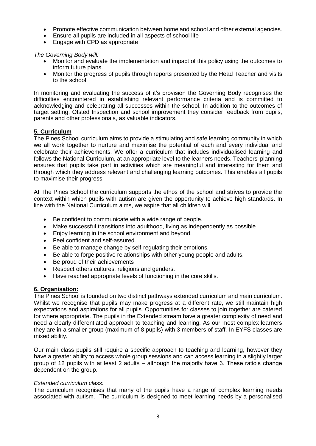- Promote effective communication between home and school and other external agencies.
- Ensure all pupils are included in all aspects of school life
- Engage with CPD as appropriate

*The Governing Body will:* 

- Monitor and evaluate the implementation and impact of this policy using the outcomes to inform future plans.
- Monitor the progress of pupils through reports presented by the Head Teacher and visits to the school

In monitoring and evaluating the success of it's provision the Governing Body recognises the difficulties encountered in establishing relevant performance criteria and is committed to acknowledging and celebrating all successes within the school. In addition to the outcomes of target setting, Ofsted Inspection and school improvement they consider feedback from pupils, parents and other professionals, as valuable indicators.

## **5. Curriculum**

The Pines School curriculum aims to provide a stimulating and safe learning community in which we all work together to nurture and maximise the potential of each and every individual and celebrate their achievements. We offer a curriculum that includes individualised learning and follows the National Curriculum, at an appropriate level to the learners needs. Teachers' planning ensures that pupils take part in activities which are meaningful and interesting for them and through which they address relevant and challenging learning outcomes. This enables all pupils to maximise their progress.

At The Pines School the curriculum supports the ethos of the school and strives to provide the context within which pupils with autism are given the opportunity to achieve high standards. In line with the National Curriculum aims, we aspire that all children will

- Be confident to communicate with a wide range of people.
- Make successful transitions into adulthood, living as independently as possible
- Enjoy learning in the school environment and beyond.
- Feel confident and self-assured.
- Be able to manage change by self-regulating their emotions.
- Be able to forge positive relationships with other young people and adults.
- Be proud of their achievements
- Respect others cultures, religions and genders.
- Have reached appropriate levels of functioning in the core skills.

## **6. Organisation:**

The Pines School is founded on two distinct pathways extended curriculum and main curriculum. Whilst we recognise that pupils may make progress at a different rate, we still maintain high expectations and aspirations for all pupils. Opportunities for classes to join together are catered for where appropriate. The pupils in the Extended stream have a greater complexity of need and need a clearly differentiated approach to teaching and learning. As our most complex learners they are in a smaller group (maximum of 8 pupils) with 3 members of staff. In EYFS classes are mixed ability.

Our main class pupils still require a specific approach to teaching and learning, however they have a greater ability to access whole group sessions and can access learning in a slightly larger group of 12 pupils with at least 2 adults – although the majority have 3. These ratio's change dependent on the group.

#### *Extended curriculum class:*

The curriculum recognises that many of the pupils have a range of complex learning needs associated with autism. The curriculum is designed to meet learning needs by a personalised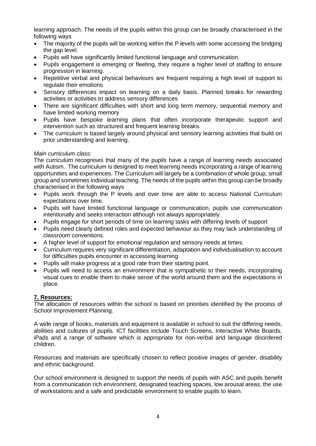learning approach. The needs of the pupils within this group can be broadly characterised in the following ways

- The majority of the pupils will be working within the P levels with some accessing the bridging the gap level.
- Pupils will have significantly limited functional language and communication.
- Pupils engagement is emerging or fleeting, they require a higher level of staffing to ensure progression in learning.
- Repetitive verbal and physical behaviours are frequent requiring a high level of support to regulate their emotions.
- Sensory differences impact on learning on a daily basis. Planned breaks for rewarding activities or activities to address sensory differences
- There are significant difficulties with short and long term memory, sequential memory and have limited working memory
- Pupils have bespoke learning plans that often incorporate therapeutic support and intervention such as structured and frequent learning breaks.
- The curriculum is based largely around physical and sensory learning activities that build on prior understanding and learning.

## *Main curriculum class:*

The curriculum recognises that many of the pupils have a range of learning needs associated with Autism. The curriculum is designed to meet learning needs incorporating a range of learning opportunities and experiences. The Curriculum will largely be a combination of whole group, small group and sometimes individual teaching. The needs of the pupils within this group can be broadly characterised in the following ways

- Pupils work through the P levels and over time are able to access National Curriculum expectations over time.
- Pupils will have limited functional language or communication, pupils use communication intentionally and seeks interaction although not always appropriately.
- Pupils engage for short periods of time on learning tasks with differing levels of support
- Pupils need clearly defined roles and expected behaviour as they may lack understanding of classroom conventions.
- A higher level of support for emotional regulation and sensory needs at times.
- Curriculum requires very significant differentiation, adaptation and individualisation to account for difficulties pupils encounter in accessing learning.
- Pupils will make progress at a good rate from their starting point.
- Pupils will need to access an environment that is sympathetic to their needs, incorporating visual cues to enable them to make sense of the world around them and the expectations in place.

## **7. Resources:**

The allocation of resources within the school is based on priorities identified by the process of School Improvement Planning.

A wide range of books, materials and equipment is available in school to suit the differing needs, abilities and cultures of pupils. ICT facilities include Touch Screens, Interactive White Boards, iPads and a range of software which is appropriate for non-verbal and language disordered children.

Resources and materials are specifically chosen to reflect positive images of gender, disability and ethnic background.

Our school environment is designed to support the needs of pupils with ASC and pupils benefit from a communication rich environment, designated teaching spaces, low arousal areas, the use of workstations and a safe and predictable environment to enable pupils to learn.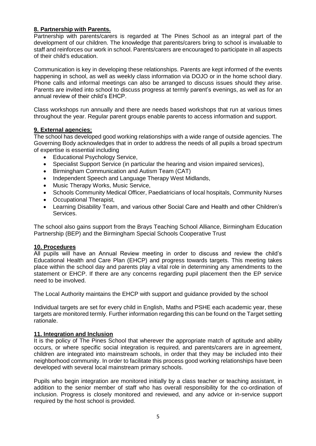# **8. Partnership with Parents.**

Partnership with parents/carers is regarded at The Pines School as an integral part of the development of our children. The knowledge that parents/carers bring to school is invaluable to staff and reinforces our work in school. Parents/carers are encouraged to participate in all aspects of their child's education.

Communication is key in developing these relationships. Parents are kept informed of the events happening in school, as well as weekly class information via DOJO or in the home school diary. Phone calls and informal meetings can also be arranged to discuss issues should they arise. Parents are invited into school to discuss progress at termly parent's evenings, as well as for an annual review of their child's EHCP.

Class workshops run annually and there are needs based workshops that run at various times throughout the year. Regular parent groups enable parents to access information and support.

# **9. External agencies:**

The school has developed good working relationships with a wide range of outside agencies. The Governing Body acknowledges that in order to address the needs of all pupils a broad spectrum of expertise is essential including

- Educational Psychology Service,
- Specialist Support Service (in particular the hearing and vision impaired services),
- Birmingham Communication and Autism Team (CAT)
- Independent Speech and Language Therapy West Midlands,
- Music Therapy Works, Music Service,
- Schools Community Medical Officer, Paediatricians of local hospitals, Community Nurses
- Occupational Therapist,
- Learning Disability Team, and various other Social Care and Health and other Children's Services.

The school also gains support from the Brays Teaching School Alliance, Birmingham Education Partnership (BEP) and the Birmingham Special Schools Cooperative Trust

## **10. Procedures**

All pupils will have an Annual Review meeting in order to discuss and review the child's Educational Health and Care Plan (EHCP) and progress towards targets. This meeting takes place within the school day and parents play a vital role in determining any amendments to the statement or EHCP. If there are any concerns regarding pupil placement then the EP service need to be involved.

The Local Authority maintains the EHCP with support and guidance provided by the school

Individual targets are set for every child in English, Maths and PSHE each academic year, these targets are monitored termly. Further information regarding this can be found on the Target setting rationale.

## **11. Integration and Inclusion**

It is the policy of The Pines School that wherever the appropriate match of aptitude and ability occurs, or where specific social integration is required, and parents/carers are in agreement, children are integrated into mainstream schools, in order that they may be included into their neighborhood community. In order to facilitate this process good working relationships have been developed with several local mainstream primary schools.

Pupils who begin integration are monitored initially by a class teacher or teaching assistant, in addition to the senior member of staff who has overall responsibility for the co-ordination of inclusion. Progress is closely monitored and reviewed, and any advice or in-service support required by the host school is provided.